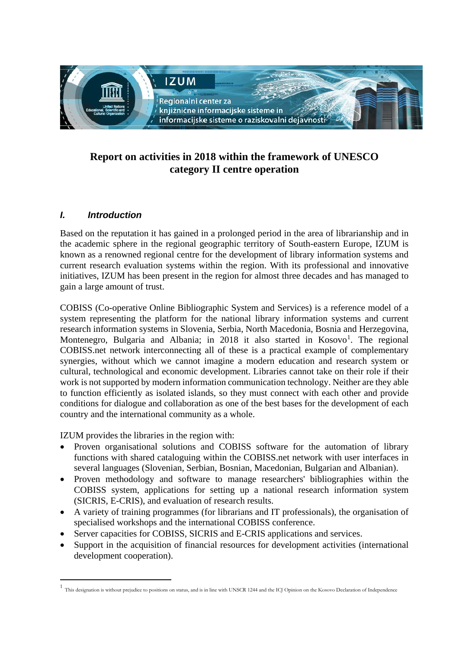

# **Report on activities in 2018 within the framework of UNESCO category II centre operation**

## *I. Introduction*

-

Based on the reputation it has gained in a prolonged period in the area of librarianship and in the academic sphere in the regional geographic territory of South-eastern Europe, IZUM is known as a renowned regional centre for the development of library information systems and current research evaluation systems within the region. With its professional and innovative initiatives, IZUM has been present in the region for almost three decades and has managed to gain a large amount of trust.

COBISS (Co-operative Online Bibliographic System and Services) is a reference model of a system representing the platform for the national library information systems and current research information systems in Slovenia, Serbia, North Macedonia, Bosnia and Herzegovina, Montenegro, Bulgaria and Albania; in 20[1](#page-0-0)8 it also started in Kosovo<sup>1</sup>. The regional COBISS.net network interconnecting all of these is a practical example of complementary synergies, without which we cannot imagine a modern education and research system or cultural, technological and economic development. Libraries cannot take on their role if their work is not supported by modern information communication technology. Neither are they able to function efficiently as isolated islands, so they must connect with each other and provide conditions for dialogue and collaboration as one of the best bases for the development of each country and the international community as a whole.

IZUM provides the libraries in the region with:

- Proven organisational solutions and COBISS software for the automation of library functions with shared cataloguing within the COBISS.net network with user interfaces in several languages (Slovenian, Serbian, Bosnian, Macedonian, Bulgarian and Albanian).
- Proven methodology and software to manage researchers' bibliographies within the COBISS system, applications for setting up a national research information system (SICRIS, E-CRIS), and evaluation of research results.
- A variety of training programmes (for librarians and IT professionals), the organisation of specialised workshops and the international COBISS conference.
- Server capacities for COBISS, SICRIS and E-CRIS applications and services.
- Support in the acquisition of financial resources for development activities (international development cooperation).

<span id="page-0-0"></span><sup>&</sup>lt;sup>1</sup> This designation is without prejudice to positions on status, and is in line with UNSCR 1244 and the ICJ Opinion on the Kosovo Declaration of Independence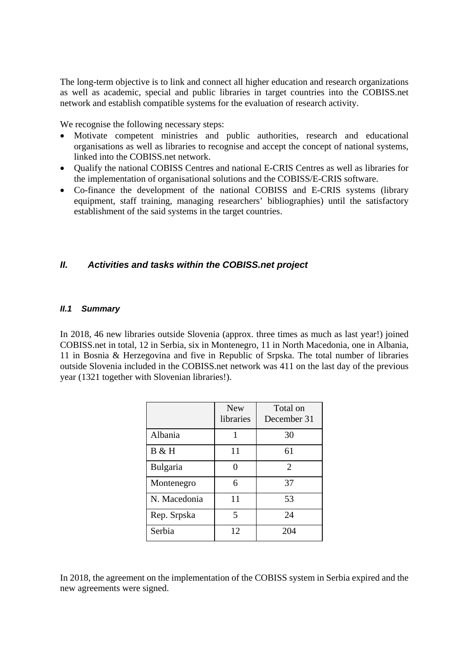The long-term objective is to link and connect all higher education and research organizations as well as academic, special and public libraries in target countries into the COBISS.net network and establish compatible systems for the evaluation of research activity.

We recognise the following necessary steps:

- Motivate competent ministries and public authorities, research and educational organisations as well as libraries to recognise and accept the concept of national systems, linked into the COBISS.net network.
- Qualify the national COBISS Centres and national E-CRIS Centres as well as libraries for the implementation of organisational solutions and the COBISS/E-CRIS software.
- Co-finance the development of the national COBISS and E-CRIS systems (library equipment, staff training, managing researchers' bibliographies) until the satisfactory establishment of the said systems in the target countries.

## *II. Activities and tasks within the COBISS.net project*

#### *II.1 Summary*

In 2018, 46 new libraries outside Slovenia (approx. three times as much as last year!) joined COBISS.net in total, 12 in Serbia, six in Montenegro, 11 in North Macedonia, one in Albania, 11 in Bosnia & Herzegovina and five in Republic of Srpska. The total number of libraries outside Slovenia included in the COBISS.net network was 411 on the last day of the previous year (1321 together with Slovenian libraries!).

|              | <b>New</b><br>libraries | Total on<br>December 31 |
|--------------|-------------------------|-------------------------|
| Albania      |                         | 30                      |
| B & H        | 11                      | 61                      |
| Bulgaria     |                         | $\overline{2}$          |
| Montenegro   | 6                       | 37                      |
| N. Macedonia | 11                      | 53                      |
| Rep. Srpska  | 5                       | 24                      |
| Serbia       | 12                      | 204                     |

In 2018, the agreement on the implementation of the COBISS system in Serbia expired and the new agreements were signed.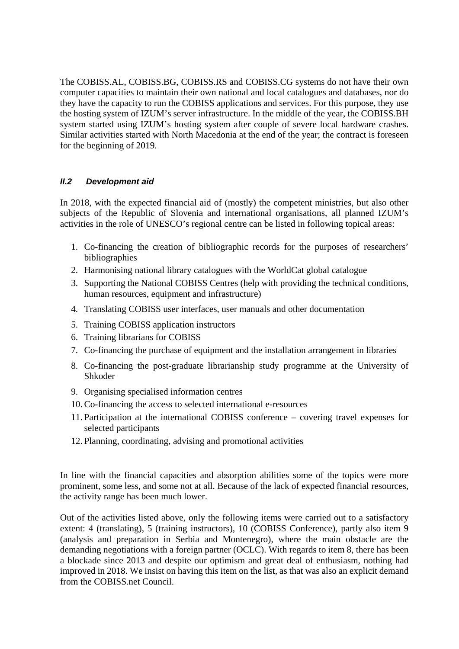The COBISS.AL, COBISS.BG, COBISS.RS and COBISS.CG systems do not have their own computer capacities to maintain their own national and local catalogues and databases, nor do they have the capacity to run the COBISS applications and services. For this purpose, they use the hosting system of IZUM's server infrastructure. In the middle of the year, the COBISS.BH system started using IZUM's hosting system after couple of severe local hardware crashes. Similar activities started with North Macedonia at the end of the year; the contract is foreseen for the beginning of 2019.

#### *II.2 Development aid*

In 2018, with the expected financial aid of (mostly) the competent ministries, but also other subjects of the Republic of Slovenia and international organisations, all planned IZUM's activities in the role of UNESCO's regional centre can be listed in following topical areas:

- 1. Co-financing the creation of bibliographic records for the purposes of researchers' bibliographies
- 2. Harmonising national library catalogues with the WorldCat global catalogue
- 3. Supporting the National COBISS Centres (help with providing the technical conditions, human resources, equipment and infrastructure)
- 4. Translating COBISS user interfaces, user manuals and other documentation
- 5. Training COBISS application instructors
- 6. Training librarians for COBISS
- 7. Co-financing the purchase of equipment and the installation arrangement in libraries
- 8. Co-financing the post-graduate librarianship study programme at the University of Shkoder
- 9. Organising specialised information centres
- 10.Co-financing the access to selected international e-resources
- 11. Participation at the international COBISS conference covering travel expenses for selected participants
- 12. Planning, coordinating, advising and promotional activities

In line with the financial capacities and absorption abilities some of the topics were more prominent, some less, and some not at all. Because of the lack of expected financial resources, the activity range has been much lower.

Out of the activities listed above, only the following items were carried out to a satisfactory extent: 4 (translating), 5 (training instructors), 10 (COBISS Conference), partly also item 9 (analysis and preparation in Serbia and Montenegro), where the main obstacle are the demanding negotiations with a foreign partner (OCLC). With regards to item 8, there has been a blockade since 2013 and despite our optimism and great deal of enthusiasm, nothing had improved in 2018. We insist on having this item on the list, as that was also an explicit demand from the COBISS.net Council.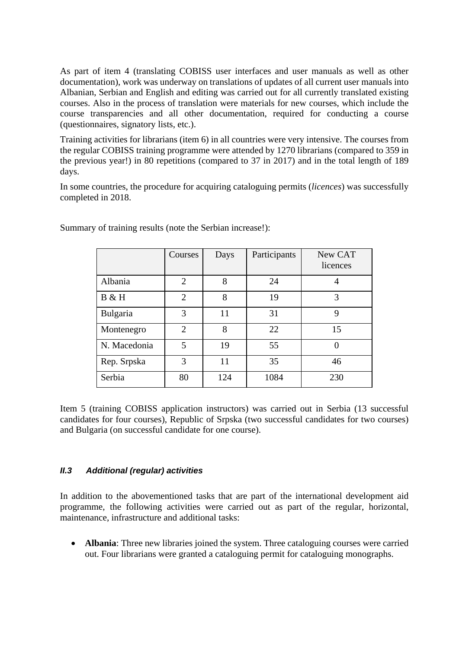As part of item 4 (translating COBISS user interfaces and user manuals as well as other documentation), work was underway on translations of updates of all current user manuals into Albanian, Serbian and English and editing was carried out for all currently translated existing courses. Also in the process of translation were materials for new courses, which include the course transparencies and all other documentation, required for conducting a course (questionnaires, signatory lists, etc.).

Training activities for librarians (item 6) in all countries were very intensive. The courses from the regular COBISS training programme were attended by 1270 librarians (compared to 359 in the previous year!) in 80 repetitions (compared to 37 in 2017) and in the total length of 189 days.

In some countries, the procedure for acquiring cataloguing permits (*licences*) was successfully completed in 2018.

|              | Courses        | Days | Participants | New CAT<br>licences |
|--------------|----------------|------|--------------|---------------------|
| Albania      | $\overline{2}$ | 8    | 24           | 4                   |
| B & H        | $\overline{2}$ | 8    | 19           | 3                   |
| Bulgaria     | 3              | 11   | 31           | 9                   |
| Montenegro   | $\overline{2}$ | 8    | 22           | 15                  |
| N. Macedonia | 5              | 19   | 55           |                     |
| Rep. Srpska  | 3              | 11   | 35           | 46                  |
| Serbia       | 80             | 124  | 1084         | 230                 |

Summary of training results (note the Serbian increase!):

Item 5 (training COBISS application instructors) was carried out in Serbia (13 successful candidates for four courses), Republic of Srpska (two successful candidates for two courses) and Bulgaria (on successful candidate for one course).

## *II.3 Additional (regular) activities*

In addition to the abovementioned tasks that are part of the international development aid programme, the following activities were carried out as part of the regular, horizontal, maintenance, infrastructure and additional tasks:

• **Albania**: Three new libraries joined the system. Three cataloguing courses were carried out. Four librarians were granted a cataloguing permit for cataloguing monographs.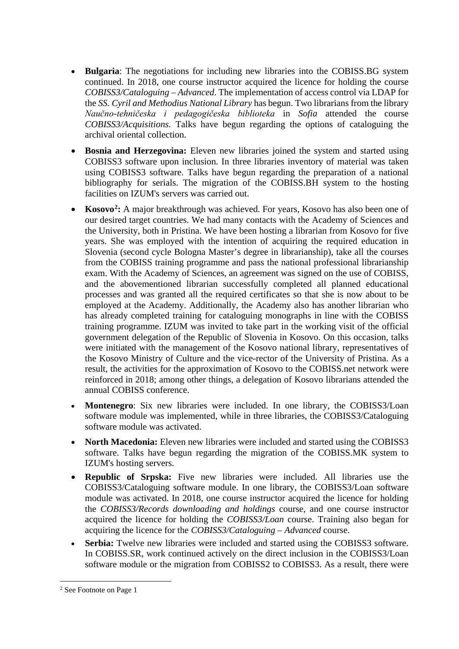- **Bulgaria**: The negotiations for including new libraries into the COBISS.BG system continued. In 2018, one course instructor acquired the licence for holding the course *COBISS3/Cataloguing – Advanced*. The implementation of access control via LDAP for the *SS. Cyril and Methodius National Library* has begun. Two librarians from the library *Naučno-tehničeska i pedagogičeska biblioteka* in *Sofia* attended the course *COBISS3/Acquisitions.* Talks have begun regarding the options of cataloguing the archival oriental collection.
- **Bosnia and Herzegovina:** Eleven new libraries joined the system and started using COBISS3 software upon inclusion. In three libraries inventory of material was taken using COBISS3 software. Talks have begun regarding the preparation of a national bibliography for serials. The migration of the COBISS.BH system to the hosting facilities on IZUM's servers was carried out.
- **Kosovo<sup>2</sup>:** A major breakthrough was achieved. For years, Kosovo has also been one of our desired target countries. We had many contacts with the Academy of Sciences and the University, both in Pristina. We have been hosting a librarian from Kosovo for five years. She was employed with the intention of acquiring the required education in Slovenia (second cycle Bologna Master's degree in librarianship), take all the courses from the COBISS training programme and pass the national professional librarianship exam. With the Academy of Sciences, an agreement was signed on the use of COBISS, and the abovementioned librarian successfully completed all planned educational processes and was granted all the required certificates so that she is now about to be employed at the Academy. Additionally, the Academy also has another librarian who has already completed training for cataloguing monographs in line with the COBISS training programme. IZUM was invited to take part in the working visit of the official government delegation of the Republic of Slovenia in Kosovo. On this occasion, talks were initiated with the management of the Kosovo national library, representatives of the Kosovo Ministry of Culture and the vice-rector of the University of Pristina. As a result, the activities for the approximation of Kosovo to the COBISS.net network were reinforced in 2018; among other things, a delegation of Kosovo librarians attended the annual COBISS conference.
- **Montenegro**: Six new libraries were included. In one library, the COBISS3/Loan software module was implemented, while in three libraries, the COBISS3/Cataloguing software module was activated.
- **North Macedonia:** Eleven new libraries were included and started using the COBISS3 software. Talks have begun regarding the migration of the COBISS.MK system to IZUM's hosting servers.
- **Republic of Srpska:** Five new libraries were included. All libraries use the COBISS3/Cataloguing software module. In one library, the COBISS3/Loan software module was activated. In 2018, one course instructor acquired the licence for holding the *COBISS3/Records downloading and holdings* course, and one course instructor acquired the licence for holding the *COBISS3/Loan* course. Training also began for acquiring the licence for the *COBISS3/Cataloguing – Advanced* course.
- **Serbia:** Twelve new libraries were included and started using the COBISS3 software. In COBISS.SR, work continued actively on the direct inclusion in the COBISS3/Loan software module or the migration from COBISS2 to COBISS3. As a result, there were

<span id="page-4-0"></span> <sup>2</sup> See Footnote on Page 1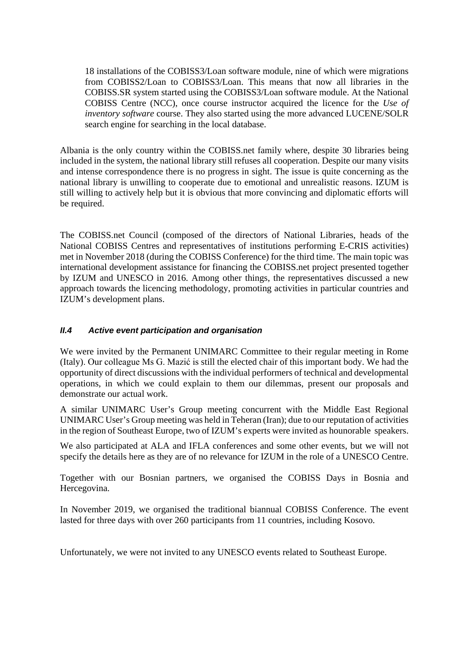18 installations of the COBISS3/Loan software module, nine of which were migrations from COBISS2/Loan to COBISS3/Loan. This means that now all libraries in the COBISS.SR system started using the COBISS3/Loan software module. At the National COBISS Centre (NCC), once course instructor acquired the licence for the *Use of inventory software* course. They also started using the more advanced LUCENE/SOLR search engine for searching in the local database.

Albania is the only country within the COBISS.net family where, despite 30 libraries being included in the system, the national library still refuses all cooperation. Despite our many visits and intense correspondence there is no progress in sight. The issue is quite concerning as the national library is unwilling to cooperate due to emotional and unrealistic reasons. IZUM is still willing to actively help but it is obvious that more convincing and diplomatic efforts will be required.

The COBISS.net Council (composed of the directors of National Libraries, heads of the National COBISS Centres and representatives of institutions performing E-CRIS activities) met in November 2018 (during the COBISS Conference) for the third time. The main topic was international development assistance for financing the COBISS.net project presented together by IZUM and UNESCO in 2016. Among other things, the representatives discussed a new approach towards the licencing methodology, promoting activities in particular countries and IZUM's development plans.

## *II.4 Active event participation and organisation*

We were invited by the Permanent UNIMARC Committee to their regular meeting in Rome (Italy). Our colleague Ms G. Mazić is still the elected chair of this important body. We had the opportunity of direct discussions with the individual performers of technical and developmental operations, in which we could explain to them our dilemmas, present our proposals and demonstrate our actual work.

A similar UNIMARC User's Group meeting concurrent with the Middle East Regional UNIMARC User's Group meeting was held in Teheran (Iran); due to our reputation of activities in the region of Southeast Europe, two of IZUM's experts were invited as hounorable speakers.

We also participated at ALA and IFLA conferences and some other events, but we will not specify the details here as they are of no relevance for IZUM in the role of a UNESCO Centre.

Together with our Bosnian partners, we organised the COBISS Days in Bosnia and Hercegovina.

In November 2019, we organised the traditional biannual COBISS Conference. The event lasted for three days with over 260 participants from 11 countries, including Kosovo.

Unfortunately, we were not invited to any UNESCO events related to Southeast Europe.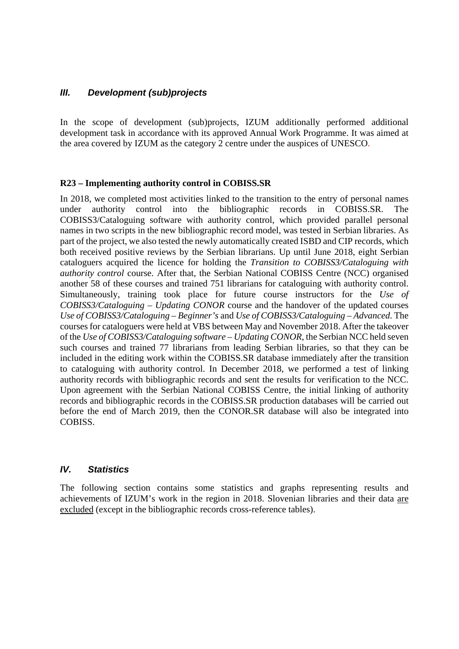## *III. Development (sub)projects*

In the scope of development (sub)projects, IZUM additionally performed additional development task in accordance with its approved Annual Work Programme. It was aimed at the area covered by IZUM as the category 2 centre under the auspices of UNESCO.

#### **R23 – Implementing authority control in COBISS.SR**

In 2018, we completed most activities linked to the transition to the entry of personal names under authority control into the bibliographic records in COBISS.SR. The COBISS3/Cataloguing software with authority control, which provided parallel personal names in two scripts in the new bibliographic record model, was tested in Serbian libraries. As part of the project, we also tested the newly automatically created ISBD and CIP records, which both received positive reviews by the Serbian librarians. Up until June 2018, eight Serbian cataloguers acquired the licence for holding the *Transition to COBISS3/Cataloguing with authority control* course. After that, the Serbian National COBISS Centre (NCC) organised another 58 of these courses and trained 751 librarians for cataloguing with authority control. Simultaneously, training took place for future course instructors for the *Use of COBISS3/Cataloguing – Updating CONOR* course and the handover of the updated courses *Use of COBISS3/Cataloguing – Beginner's* and *Use of COBISS3/Cataloguing – Advanced*. The courses for cataloguers were held at VBS between May and November 2018. After the takeover of the *Use of COBISS3/Cataloguing software – Updating CONOR*, the Serbian NCC held seven such courses and trained 77 librarians from leading Serbian libraries, so that they can be included in the editing work within the COBISS.SR database immediately after the transition to cataloguing with authority control. In December 2018, we performed a test of linking authority records with bibliographic records and sent the results for verification to the NCC. Upon agreement with the Serbian National COBISS Centre, the initial linking of authority records and bibliographic records in the COBISS.SR production databases will be carried out before the end of March 2019, then the CONOR.SR database will also be integrated into COBISS.

## *IV. Statistics*

The following section contains some statistics and graphs representing results and achievements of IZUM's work in the region in 2018. Slovenian libraries and their data are excluded (except in the bibliographic records cross-reference tables).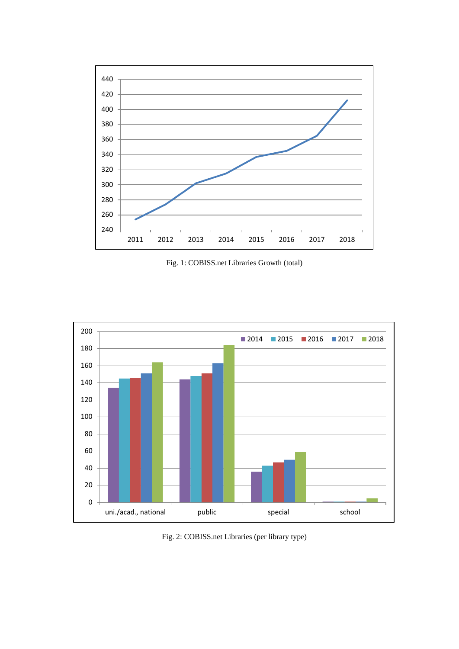

Fig. 1: COBISS.net Libraries Growth (total)



Fig. 2: COBISS.net Libraries (per library type)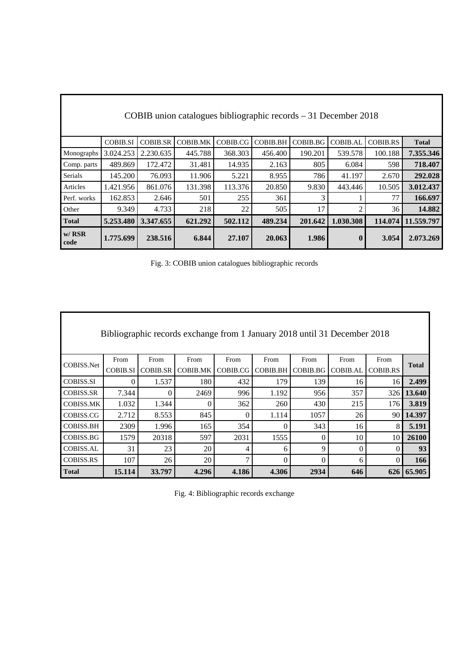| COBIB union catalogues bibliographic records $-31$ December 2018 |                 |                 |          |          |                 |          |                 |                 |              |
|------------------------------------------------------------------|-----------------|-----------------|----------|----------|-----------------|----------|-----------------|-----------------|--------------|
|                                                                  | <b>COBIB.SI</b> | <b>COBIB.SR</b> | COBIB.MK | COBIB.CG | <b>COBIB.BH</b> | COBIB.BG | <b>COBIB.AL</b> | <b>COBIB.RS</b> | <b>Total</b> |
| Monographs                                                       | 3.024.253       | 2.230.635       | 445.788  | 368.303  | 456.400         | 190.201  | 539.578         | 100.188         | 7.355.346    |
| Comp. parts                                                      | 489.869         | 172.472         | 31.481   | 14.935   | 2.163           | 805      | 6.084           | 598             | 718.407      |
| Serials                                                          | 145.200         | 76.093          | 11.906   | 5.221    | 8.955           | 786      | 41.197          | 2.670           | 292.028      |
| Articles                                                         | 1.421.956       | 861.076         | 131.398  | 113.376  | 20.850          | 9.830    | 443.446         | 10.505          | 3.012.437    |
| Perf. works                                                      | 162.853         | 2.646           | 501      | 255      | 361             | 3        |                 | 77              | 166.697      |
| Other                                                            | 9.349           | 4.733           | 218      | 22       | 505             | 17       | 2               | 36              | 14.882       |
| <b>Total</b>                                                     | 5.253.480       | 3.347.655       | 621.292  | 502.112  | 489.234         | 201.642  | 1.030.308       | 114.074         | 11.559.797   |
| $w/$ RSR<br>code                                                 | 1.775.699       | 238.516         | 6.844    | 27.107   | 20.063          | 1.986    | $\mathbf{0}$    | 3.054           | 2.073.269    |

Fig. 3: COBIB union catalogues bibliographic records

| Bibliographic records exchange from 1 January 2018 until 31 December 2018 |                 |                 |                 |          |                 |          |                 |          |              |
|---------------------------------------------------------------------------|-----------------|-----------------|-----------------|----------|-----------------|----------|-----------------|----------|--------------|
|                                                                           | From            | From            | From            | From     | From            | From     | From            | From     |              |
| COBISS.Net                                                                | <b>COBIB.SI</b> | <b>COBIB.SR</b> | <b>COBIB.MK</b> | COBIB.CG | <b>COBIB.BH</b> | COBIB.BG | <b>COBIB.AL</b> | COBIB.RS | <b>Total</b> |
| <b>COBISS.SI</b>                                                          | $\theta$        | 1.537           | 180             | 432      | 179             | 139      | 16              | 16       | 2.499        |
| <b>COBISS.SR</b>                                                          | 7.344           | 0               | 2469            | 996      | 1.192           | 956      | 357             | 326 l    | 13.640       |
| <b>COBISS.MK</b>                                                          | 1.032           | 1.344           | $\theta$        | 362      | 260             | 430      | 215             | 176      | 3.819        |
| COBISS.CG                                                                 | 2.712           | 8.553           | 845             | $\Omega$ | 1.114           | 1057     | 26              | 90 l     | 14.397       |
| <b>COBISS.BH</b>                                                          | 2309            | 1.996           | 165             | 354      | 0               | 343      | 16              | 8        | 5.191        |
| COBISS.BG                                                                 | 1579            | 20318           | 597             | 2031     | 1555            | $\Omega$ | 10              | 10       | 26100        |
| <b>COBISS.AL</b>                                                          | 31              | 23              | 20              | 4        | 6               | 9        | $\theta$        | $\Omega$ | 93           |
| <b>COBISS.RS</b>                                                          | 107             | 26              | 20              | 7        | 0               | $\Omega$ | 6               | $\Omega$ | 166          |
| <b>Total</b>                                                              | 15.114          | 33.797          | 4.296           | 4.186    | 4.306           | 2934     | 646             | 626      | 65.905       |

|  | Fig. 4: Bibliographic records exchange |  |  |
|--|----------------------------------------|--|--|
|--|----------------------------------------|--|--|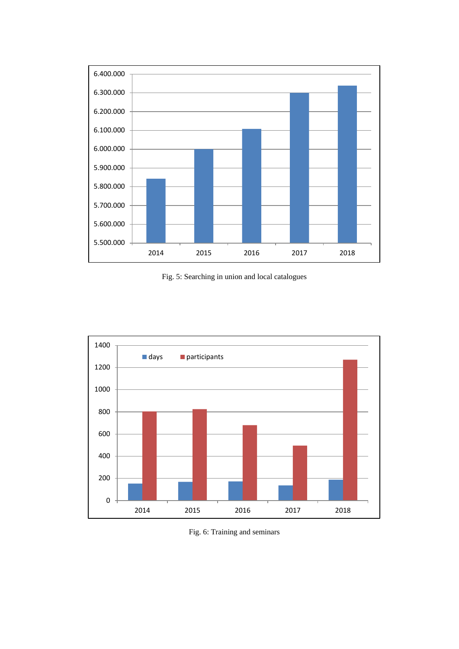

Fig. 5: Searching in union and local catalogues



Fig. 6: Training and seminars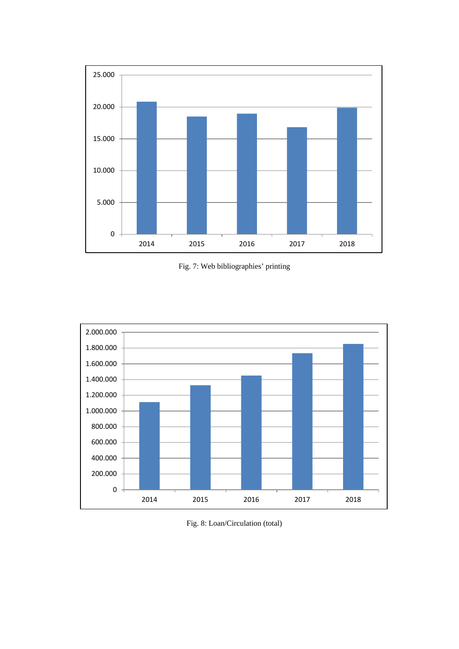

Fig. 7: Web bibliographies' printing



Fig. 8: Loan/Circulation (total)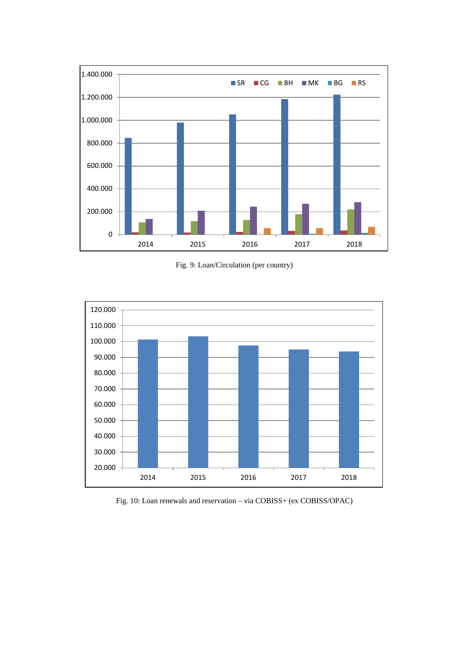

Fig. 9: Loan/Circulation (per country)



Fig. 10: Loan renewals and reservation - via COBISS+ (ex COBISS/OPAC)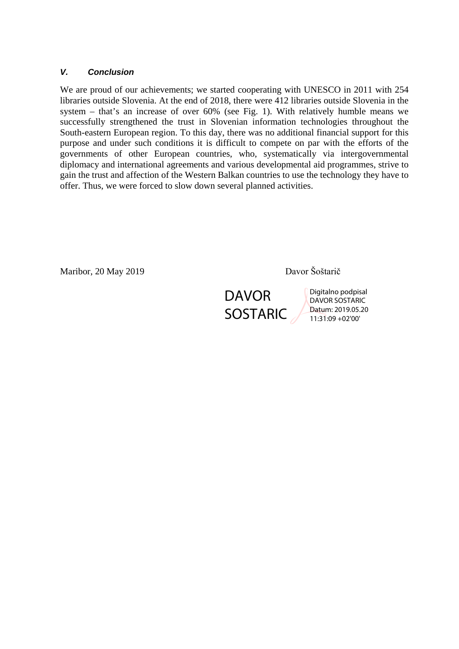#### *V. Conclusion*

We are proud of our achievements; we started cooperating with UNESCO in 2011 with 254 libraries outside Slovenia. At the end of 2018, there were 412 libraries outside Slovenia in the system – that's an increase of over 60% (see Fig. 1). With relatively humble means we successfully strengthened the trust in Slovenian information technologies throughout the South-eastern European region. To this day, there was no additional financial support for this purpose and under such conditions it is difficult to compete on par with the efforts of the governments of other European countries, who, systematically via intergovernmental diplomacy and international agreements and various developmental aid programmes, strive to gain the trust and affection of the Western Balkan countries to use the technology they have to offer. Thus, we were forced to slow down several planned activities.

Maribor, 20 May 2019 Davor Šoštarič

**DAVOR SOSTARIC** 

Digitalno podpisal DAVOR SOSTARIC Datum: 2019.05.20 11:31:09 +02'00'